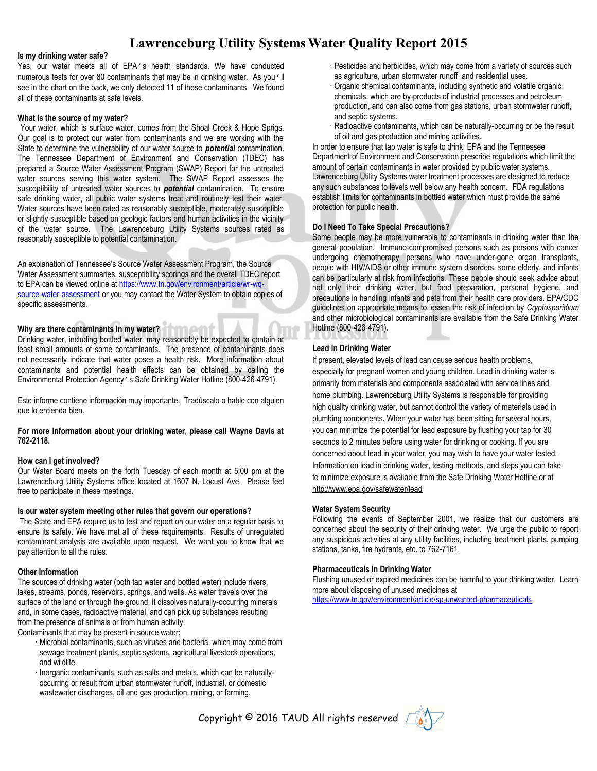## **Lawrenceburg Utility SystemsWater Quality Report 2015**

#### **Is my drinking water safe?**

Yes, our water meets all of EPA's health standards. We have conducted numerous tests for over 80 contaminants that may be in drinking water. As you'll see in the chart on the back, we only detected 11 of these contaminants. We found all of these contaminants at safe levels.

#### **What is the source of my water?**

Your water, which is surface water, comes from the Shoal Creek & Hope Sprigs. Our goal is to protect our water from contaminants and we are working with the State to determine the vulnerability of our water source to *potential* contamination. The Tennessee Department of Environment and Conservation (TDEC) has prepared a Source Water Assessment Program (SWAP) Report for the untreated water sources serving this water system. The SWAP Report assesses the susceptibility of untreated water sources to *potential* contamination. To ensure safe drinking water, all public water systems treat and routinely test their water. Water sources have been rated as reasonably susceptible, moderately susceptible or slightly susceptible based on geologic factors and human activities in the vicinity of the water source. The Lawrenceburg Utility Systems sources rated as reasonably susceptible to potential contamination.

An explanation of Tennessee's Source Water Assessment Program, the Source Water Assessment summaries, susceptibility scorings and the overall TDEC report to EPA can be viewed online at [https://www.tn.gov/environment/article/wr-wq](https://www.tn.gov/environment/article/wr-wq-source-water-assessment)[source-water-assessment](https://www.tn.gov/environment/article/wr-wq-source-water-assessment) or you may contact the Water System to obtain copies of specific assessments.

#### **Why are there contaminants in my water?**

Drinking water, including bottled water, may reasonably be expected to contain at least small amounts of some contaminants. The presence of contaminants does not necessarily indicate that water poses a health risk. More information about contaminants and potential health effects can be obtained by calling the Environmental Protection Agency's Safe Drinking Water Hotline (800-426-4791).

Este informe contiene información muy importante. Tradúscalo o hable con alguien que lo entienda bien.

#### **For more information about your drinking water, please call Wayne Davis at 762-2118.**

#### **How can I get involved?**

Our Water Board meets on the forth Tuesday of each month at 5:00 pm at the Lawrenceburg Utility Systems office located at 1607 N. Locust Ave. Please feel free to participate in these meetings.

#### **Is our water system meeting other rules that govern our operations?**

The State and EPA require us to test and report on our water on a regular basis to ensure its safety. We have met all of these requirements. Results of unregulated contaminant analysis are available upon request. We want you to know that we pay attention to all the rules.

#### **Other Information**

The sources of drinking water (both tap water and bottled water) include rivers, lakes, streams, ponds, reservoirs, springs, and wells. As water travels over the surface of the land or through the ground, it dissolves naturally-occurring minerals and, in some cases, radioactive material, and can pick up substances resulting from the presence of animals or from human activity.

Contaminants that may be present in source water:

- · Microbial contaminants, such as viruses and bacteria, which may come from sewage treatment plants, septic systems, agricultural livestock operations, and wildlife.
- · Inorganic contaminants, such as salts and metals, which can be naturallyoccurring or result from urban stormwater runoff, industrial, or domestic wastewater discharges, oil and gas production, mining, or farming.
- · Pesticides and herbicides, which may come from a variety of sources such as agriculture, urban stormwater runoff, and residential uses.
- · Organic chemical contaminants, including synthetic and volatile organic chemicals, which are by-products of industrial processes and petroleum production, and can also come from gas stations, urban stormwater runoff, and septic systems.
- Radioactive contaminants, which can be naturally-occurring or be the result of oil and gas production and mining activities.

In order to ensure that tap water is safe to drink, EPA and the Tennessee Department of Environment and Conservation prescribe regulations which limit the amount of certain contaminants in water provided by public water systems. Lawrenceburg Utility Systems water treatment processes are designed to reduce any such substances to levels well below any health concern. FDA regulations establish limits for contaminants in bottled water which must provide the same protection for public health.

#### **Do I Need To Take Special Precautions?**

Some people may be more vulnerable to contaminants in drinking water than the general population. Immuno-compromised persons such as persons with cancer undergoing chemotherapy, persons who have under-gone organ transplants, people with HIV/AIDS or other immune system disorders, some elderly, and infants can be particularly at risk from infections. These people should seek advice about not only their drinking water, but food preparation, personal hygiene, and precautions in handling infants and pets from their health care providers. EPA/CDC guidelines on appropriate means to lessen the risk of infection by *Cryptosporidium* and other microbiological contaminants are available from the Safe Drinking Water Hotline (800-426-4791).

#### **Lead in Drinking Water**

If present, elevated levels of lead can cause serious health problems, especially for pregnant women and young children. Lead in drinking water is primarily from materials and components associated with service lines and home plumbing. Lawrenceburg Utility Systems is responsible for providing high quality drinking water, but cannot control the variety of materials used in plumbing components. When your water has been sitting for several hours, you can minimize the potential for lead exposure by flushing your tap for 30 seconds to 2 minutes before using water for drinking or cooking. If you are concerned about lead in your water, you may wish to have your water tested. Information on lead in drinking water, testing methods, and steps you can take to minimize exposure is available from the Safe Drinking Water Hotline or at http://www.epa.gov/safewater/lead

#### **Water System Security**

Following the events of September 2001, we realize that our customers are concerned about the security of their drinking water. We urge the public to report any suspicious activities at any utility facilities, including treatment plants, pumping stations, tanks, fire hydrants, etc. to 762-7161.

#### **Pharmaceuticals In Drinking Water**

Flushing unused or expired medicines can be harmful to your drinking water. Learn more about disposing of unused medicines at

<https://www.tn.gov/environment/article/sp-unwanted-pharmaceuticals>